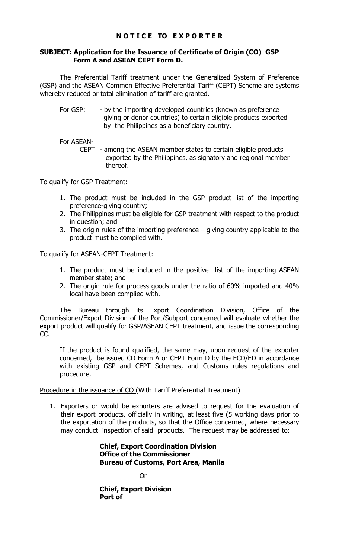## **NOTICE TO EXPORTER**

## SUBJECT: Application for the Issuance of Certificate of Origin (CO) GSP Form A and ASEAN CEPT Form D.

 The Preferential Tariff treatment under the Generalized System of Preference (GSP) and the ASEAN Common Effective Preferential Tariff (CEPT) Scheme are systems whereby reduced or total elimination of tariff are granted.

For GSP: - by the importing developed countries (known as preference giving or donor countries) to certain eligible products exported by the Philippines as a beneficiary country.

For ASEAN-

CEPT - among the ASEAN member states to certain eligible products exported by the Philippines, as signatory and regional member thereof.

To qualify for GSP Treatment:

- 1. The product must be included in the GSP product list of the importing preference-giving country;
- 2. The Philippines must be eligible for GSP treatment with respect to the product in question; and
- 3. The origin rules of the importing preference giving country applicable to the product must be compiled with.

To qualify for ASEAN-CEPT Treatment:

- 1. The product must be included in the positive list of the importing ASEAN member state; and
- 2. The origin rule for process goods under the ratio of 60% imported and 40% local have been complied with.

The Bureau through its Export Coordination Division, Office of the Commissioner/Export Division of the Port/Subport concerned will evaluate whether the export product will qualify for GSP/ASEAN CEPT treatment, and issue the corresponding CC.

If the product is found qualified, the same may, upon request of the exporter concerned, be issued CD Form A or CEPT Form D by the ECD/ED in accordance with existing GSP and CEPT Schemes, and Customs rules regulations and procedure.

Procedure in the issuance of CO (With Tariff Preferential Treatment)

1. Exporters or would be exporters are advised to request for the evaluation of their export products, officially in writing, at least five (5 working days prior to the exportation of the products, so that the Office concerned, where necessary may conduct inspection of said products. The request may be addressed to:

> Chief, Export Coordination Division Office of the Commissioner Bureau of Customs, Port Area, Manila

**Oriented and Contract Contract Oriented Street** 

 Chief, Export Division Port of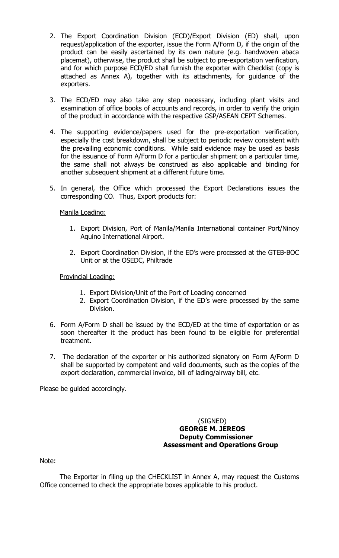- 2. The Export Coordination Division (ECD)/Export Division (ED) shall, upon request/application of the exporter, issue the Form A/Form D, if the origin of the product can be easily ascertained by its own nature (e.g. handwoven abaca placemat), otherwise, the product shall be subject to pre-exportation verification, and for which purpose ECD/ED shall furnish the exporter with Checklist (copy is attached as Annex A), together with its attachments, for guidance of the exporters.
- 3. The ECD/ED may also take any step necessary, including plant visits and examination of office books of accounts and records, in order to verify the origin of the product in accordance with the respective GSP/ASEAN CEPT Schemes.
- 4. The supporting evidence/papers used for the pre-exportation verification, especially the cost breakdown, shall be subject to periodic review consistent with the prevailing economic conditions. While said evidence may be used as basis for the issuance of Form A/Form D for a particular shipment on a particular time, the same shall not always be construed as also applicable and binding for another subsequent shipment at a different future time.
- 5. In general, the Office which processed the Export Declarations issues the corresponding CO. Thus, Export products for:

Manila Loading:

- 1. Export Division, Port of Manila/Manila International container Port/Ninoy Aquino International Airport.
- 2. Export Coordination Division, if the ED's were processed at the GTEB-BOC Unit or at the OSEDC, Philtrade

Provincial Loading:

- 1. Export Division/Unit of the Port of Loading concerned
- 2. Export Coordination Division, if the ED's were processed by the same Division.
- 6. Form A/Form D shall be issued by the ECD/ED at the time of exportation or as soon thereafter it the product has been found to be eligible for preferential treatment.
- 7. The declaration of the exporter or his authorized signatory on Form A/Form D shall be supported by competent and valid documents, such as the copies of the export declaration, commercial invoice, bill of lading/airway bill, etc.

Please be guided accordingly.

### (SIGNED) GEORGE M. JEREOS Deputy Commissioner Assessment and Operations Group

Note:

 The Exporter in filing up the CHECKLIST in Annex A, may request the Customs Office concerned to check the appropriate boxes applicable to his product.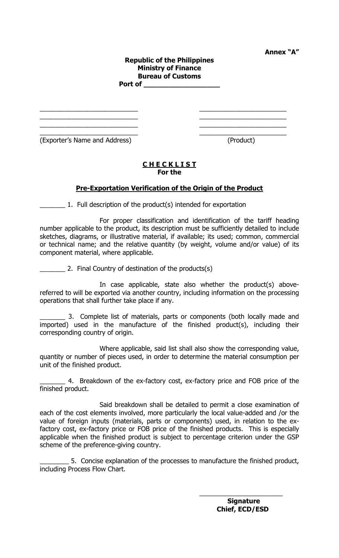Annex "A"

#### Republic of the Philippines Ministry of Finance Bureau of Customs Port of

 $\overline{\phantom{a}}$  , and the contract of the contract of the contract of the contract of the contract of the contract of the contract of the contract of the contract of the contract of the contract of the contract of the contrac  $\overline{\phantom{a}}$  , and the contract of the contract of the contract of the contract of the contract of the contract of the contract of the contract of the contract of the contract of the contract of the contract of the contrac \_\_\_\_\_\_\_\_\_\_\_\_\_\_\_\_\_\_\_\_\_\_\_\_\_\_\_ \_\_\_\_\_\_\_\_\_\_\_\_\_\_\_\_\_\_\_\_\_\_\_\_  $\overline{\phantom{a}}$  , and the contract of the contract of the contract of the contract of the contract of the contract of the contract of the contract of the contract of the contract of the contract of the contract of the contrac

(Exporter's Name and Address) (Product)

#### CHECKLIST For the

## Pre-Exportation Verification of the Origin of the Product

1. Full description of the product(s) intended for exportation

 For proper classification and identification of the tariff heading number applicable to the product, its description must be sufficiently detailed to include sketches, diagrams, or illustrative material, if available; its used; common, commercial or technical name; and the relative quantity (by weight, volume and/or value) of its component material, where applicable.

\_\_\_\_\_\_\_ 2. Final Country of destination of the products(s)

 In case applicable, state also whether the product(s) abovereferred to will be exported via another country, including information on the processing operations that shall further take place if any.

3. Complete list of materials, parts or components (both locally made and imported) used in the manufacture of the finished product(s), including their corresponding country of origin.

 Where applicable, said list shall also show the corresponding value, quantity or number of pieces used, in order to determine the material consumption per unit of the finished product.

\_\_\_\_\_\_\_ 4. Breakdown of the ex-factory cost, ex-factory price and FOB price of the finished product.

 Said breakdown shall be detailed to permit a close examination of each of the cost elements involved, more particularly the local value-added and /or the value of foreign inputs (materials, parts or components) used, in relation to the exfactory cost, ex-factory price or FOB price of the finished products. This is especially applicable when the finished product is subject to percentage criterion under the GSP scheme of the preference-giving country.

\_\_\_\_\_\_\_\_ 5. Concise explanation of the processes to manufacture the finished product, including Process Flow Chart.

 $\overline{\phantom{a}}$  , which is a set of the contract of the contract of the contract of the contract of the contract of the contract of the contract of the contract of the contract of the contract of the contract of the contract

 Signature Chief, ECD/ESD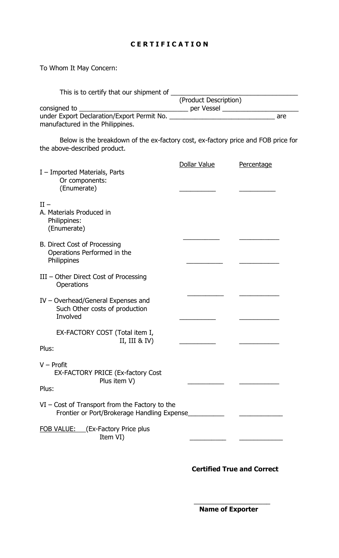# CERTIFICATION

To Whom It May Concern:

| This is to certify that our shipment of                                                                           |                                                 |            |
|-------------------------------------------------------------------------------------------------------------------|-------------------------------------------------|------------|
|                                                                                                                   | (Product Description)                           |            |
| consigned to <b>constants</b>                                                                                     | _____________ per Vessel ______________________ |            |
| manufactured in the Philippines.                                                                                  |                                                 |            |
| Below is the breakdown of the ex-factory cost, ex-factory price and FOB price for<br>the above-described product. |                                                 |            |
|                                                                                                                   | Dollar Value                                    | Percentage |
| I - Imported Materials, Parts<br>Or components:<br>(Enumerate)                                                    |                                                 |            |
| $II -$                                                                                                            |                                                 |            |
| A. Materials Produced in<br>Philippines:<br>(Enumerate)                                                           |                                                 |            |
| <b>B. Direct Cost of Processing</b><br>Operations Performed in the<br>Philippines                                 |                                                 |            |
| III - Other Direct Cost of Processing<br>Operations                                                               |                                                 |            |
| IV - Overhead/General Expenses and<br>Such Other costs of production<br>Involved                                  |                                                 |            |
| EX-FACTORY COST (Total item I,                                                                                    |                                                 |            |
| II, III & IV)                                                                                                     |                                                 |            |
| Plus:                                                                                                             |                                                 |            |
| $V -$ Profit<br>EX-FACTORY PRICE (Ex-factory Cost<br>Plus item V)<br>Plus:                                        |                                                 |            |
| $VI$ – Cost of Transport from the Factory to the<br>Frontier or Port/Brokerage Handling Expense                   |                                                 |            |
| <b>FOB VALUE:</b> (Ex-Factory Price plus<br>Item VI)                                                              |                                                 |            |

 $\overline{\phantom{a}}$  , and the contract of the contract of the contract of the contract of the contract of the contract of the contract of the contract of the contract of the contract of the contract of the contract of the contrac

Certified True and Correct

Name of Exporter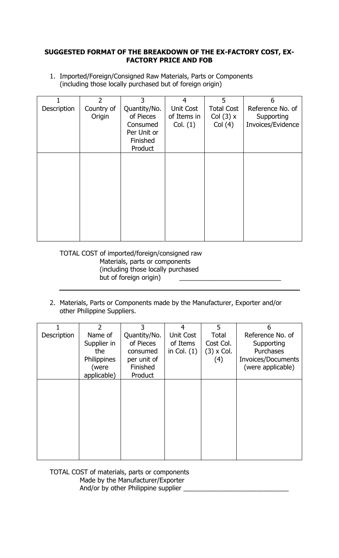## SUGGESTED FORMAT OF THE BREAKDOWN OF THE EX-FACTORY COST, EX-FACTORY PRICE AND FOB

1. Imported/Foreign/Consigned Raw Materials, Parts or Components (including those locally purchased but of foreign origin)

|             | $\overline{2}$ | 3            | $\overline{4}$   | 5                 | 6                 |
|-------------|----------------|--------------|------------------|-------------------|-------------------|
| Description | Country of     | Quantity/No. | <b>Unit Cost</b> | <b>Total Cost</b> | Reference No. of  |
|             | Origin         | of Pieces    | of Items in      | Col $(3)$ x       | Supporting        |
|             |                | Consumed     | Col. (1)         | Col(4)            | Invoices/Evidence |
|             |                | Per Unit or  |                  |                   |                   |
|             |                | Finished     |                  |                   |                   |
|             |                | Product      |                  |                   |                   |
|             |                |              |                  |                   |                   |
|             |                |              |                  |                   |                   |
|             |                |              |                  |                   |                   |
|             |                |              |                  |                   |                   |
|             |                |              |                  |                   |                   |
|             |                |              |                  |                   |                   |
|             |                |              |                  |                   |                   |
|             |                |              |                  |                   |                   |
|             |                |              |                  |                   |                   |
|             |                |              |                  |                   |                   |
|             |                |              |                  |                   |                   |

TOTAL COST of imported/foreign/consigned raw Materials, parts or components (including those locally purchased but of foreign origin)

2. Materials, Parts or Components made by the Manufacturer, Exporter and/or other Philippine Suppliers.

|             | $\mathcal{P}$ | 3            | 4                | 5          | 6                  |
|-------------|---------------|--------------|------------------|------------|--------------------|
| Description | Name of       | Quantity/No. | <b>Unit Cost</b> | Total      | Reference No. of   |
|             | Supplier in   | of Pieces    | of Items         | Cost Col.  | Supporting         |
|             | the           | consumed     | in Col. $(1)$    | (3) x Col. | Purchases          |
|             | Philippines   | per unit of  |                  | (4)        | Invoices/Documents |
|             | (were         | Finished     |                  |            | (were applicable)  |
|             | applicable)   | Product      |                  |            |                    |
|             |               |              |                  |            |                    |
|             |               |              |                  |            |                    |
|             |               |              |                  |            |                    |
|             |               |              |                  |            |                    |
|             |               |              |                  |            |                    |
|             |               |              |                  |            |                    |
|             |               |              |                  |            |                    |
|             |               |              |                  |            |                    |
|             |               |              |                  |            |                    |
|             |               |              |                  |            |                    |

TOTAL COST of materials, parts or components Made by the Manufacturer/Exporter And/or by other Philippine supplier \_\_\_\_\_\_\_\_\_\_\_\_\_\_\_\_\_\_\_\_\_\_\_\_\_\_\_\_\_